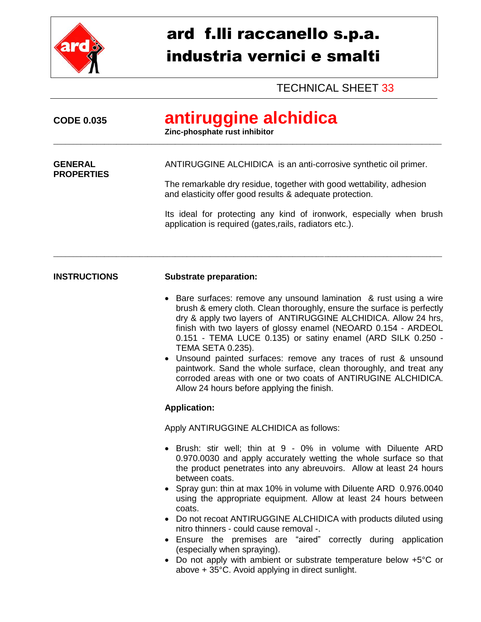

## ard f.lli raccanello s.p.a. industria vernici e smalti

TECHNICAL SHEET 33

| <b>CODE 0.035</b>                   | antiruggine alchidica<br>Zinc-phosphate rust inhibitor                                                                                                                                                                                                                                                                                                                                                                                                                                                                                                                                                                                                                                                                                                            |
|-------------------------------------|-------------------------------------------------------------------------------------------------------------------------------------------------------------------------------------------------------------------------------------------------------------------------------------------------------------------------------------------------------------------------------------------------------------------------------------------------------------------------------------------------------------------------------------------------------------------------------------------------------------------------------------------------------------------------------------------------------------------------------------------------------------------|
| <b>GENERAL</b><br><b>PROPERTIES</b> | ANTIRUGGINE ALCHIDICA is an anti-corrosive synthetic oil primer.<br>The remarkable dry residue, together with good wettability, adhesion<br>and elasticity offer good results & adequate protection.<br>Its ideal for protecting any kind of ironwork, especially when brush<br>application is required (gates, rails, radiators etc.).                                                                                                                                                                                                                                                                                                                                                                                                                           |
| <b>INSTRUCTIONS</b>                 | <b>Substrate preparation:</b><br>Bare surfaces: remove any unsound lamination & rust using a wire<br>brush & emery cloth. Clean thoroughly, ensure the surface is perfectly<br>dry & apply two layers of ANTIRUGGINE ALCHIDICA. Allow 24 hrs,<br>finish with two layers of glossy enamel (NEOARD 0.154 - ARDEOL<br>0.151 - TEMA LUCE 0.135) or satiny enamel (ARD SILK 0.250 -<br><b>TEMA SETA 0.235).</b><br>• Unsound painted surfaces: remove any traces of rust & unsound<br>paintwork. Sand the whole surface, clean thoroughly, and treat any<br>corroded areas with one or two coats of ANTIRUGINE ALCHIDICA.<br>Allow 24 hours before applying the finish.<br><b>Application:</b>                                                                         |
|                                     | Apply ANTIRUGGINE ALCHIDICA as follows:<br>Brush: stir well; thin at 9 - 0% in volume with Diluente ARD<br>0.970.0030 and apply accurately wetting the whole surface so that<br>the product penetrates into any abreuvoirs. Allow at least 24 hours<br>between coats.<br>• Spray gun: thin at max 10% in volume with Diluente ARD 0.976.0040<br>using the appropriate equipment. Allow at least 24 hours between<br>coats.<br>Do not recoat ANTIRUGGINE ALCHIDICA with products diluted using<br>nitro thinners - could cause removal -.<br>Ensure the premises are "aired" correctly during application<br>(especially when spraying).<br>• Do not apply with ambient or substrate temperature below +5°C or<br>above + 35°C. Avoid applying in direct sunlight. |